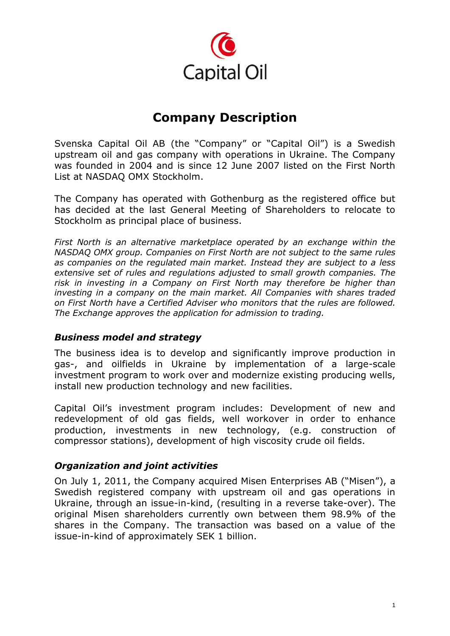

# **Company Description**

Svenska Capital Oil AB (the "Company" or "Capital Oil") is a Swedish upstream oil and gas company with operations in Ukraine. The Company was founded in 2004 and is since 12 June 2007 listed on the First North List at NASDAQ OMX Stockholm.

The Company has operated with Gothenburg as the registered office but has decided at the last General Meeting of Shareholders to relocate to Stockholm as principal place of business.

*First North is an alternative marketplace operated by an exchange within the NASDAQ OMX group. Companies on First North are not subject to the same rules as companies on the regulated main market. Instead they are subject to a less extensive set of rules and regulations adjusted to small growth companies. The risk in investing in a Company on First North may therefore be higher than investing in a company on the main market. All Companies with shares traded on First North have a Certified Adviser who monitors that the rules are followed. The Exchange approves the application for admission to trading.*

### *Business model and strategy*

The business idea is to develop and significantly improve production in gas-, and oilfields in Ukraine by implementation of a large-scale investment program to work over and modernize existing producing wells, install new production technology and new facilities.

Capital Oil's investment program includes: Development of new and redevelopment of old gas fields, well workover in order to enhance production, investments in new technology, (e.g. construction of compressor stations), development of high viscosity crude oil fields.

## *Organization and joint activities*

On July 1, 2011, the Company acquired Misen Enterprises AB ("Misen"), a Swedish registered company with upstream oil and gas operations in Ukraine, through an issue-in-kind, (resulting in a reverse take-over). The original Misen shareholders currently own between them 98.9% of the shares in the Company. The transaction was based on a value of the issue-in-kind of approximately SEK 1 billion.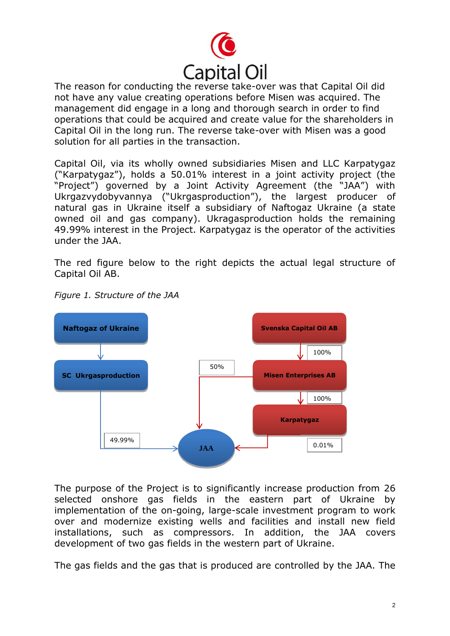

The reason for conducting the reverse take-over was that Capital Oil did not have any value creating operations before Misen was acquired. The management did engage in a long and thorough search in order to find operations that could be acquired and create value for the shareholders in Capital Oil in the long run. The reverse take-over with Misen was a good solution for all parties in the transaction.

Capital Oil, via its wholly owned subsidiaries Misen and LLC Karpatygaz ("Karpatygaz"), holds a 50.01% interest in a joint activity project (the "Project") governed by a Joint Activity Agreement (the "JAA") with Ukrgazvydobyvannya ("Ukrgasproduction"), the largest producer of natural gas in Ukraine itself a subsidiary of Naftogaz Ukraine (a state owned oil and gas company). Ukragasproduction holds the remaining 49.99% interest in the Project. Karpatygaz is the operator of the activities under the JAA.

The red figure below to the right depicts the actual legal structure of Capital Oil AB.



*Figure 1. Structure of the JAA*

The purpose of the Project is to significantly increase production from 26 selected onshore gas fields in the eastern part of Ukraine by implementation of the on-going, large-scale investment program to work over and modernize existing wells and facilities and install new field installations, such as compressors. In addition, the JAA covers development of two gas fields in the western part of Ukraine.

The gas fields and the gas that is produced are controlled by the JAA. The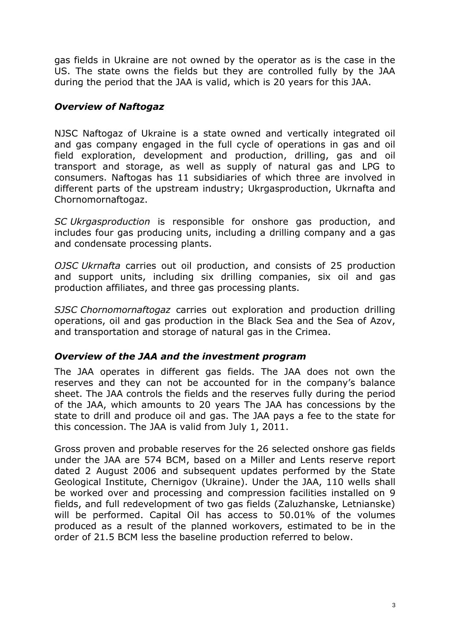gas fields in Ukraine are not owned by the operator as is the case in the US. The state owns the fields but they are controlled fully by the JAA during the period that the JAA is valid, which is 20 years for this JAA.

### *Overview of Naftogaz*

NJSC Naftogaz of Ukraine is a state owned and vertically integrated oil and gas company engaged in the full cycle of operations in gas and oil field exploration, development and production, drilling, gas and oil transport and storage, as well as supply of natural gas and LPG to consumers. Naftogas has 11 subsidiaries of which three are involved in different parts of the upstream industry; Ukrgasproduction, Ukrnafta and Chornomornaftogaz.

*SC Ukrgasproduction* is responsible for onshore gas production, and includes four gas producing units, including a drilling company and a gas and condensate processing plants.

*OJSC Ukrnafta* carries out oil production, and consists of 25 production and support units, including six drilling companies, six oil and gas production affiliates, and three gas processing plants.

*SJSC Chornomornaftogaz* carries out exploration and production drilling operations, oil and gas production in the Black Sea and the Sea of Azov, and transportation and storage of natural gas in the Crimea.

### *Overview of the JAA and the investment program*

The JAA operates in different gas fields. The JAA does not own the reserves and they can not be accounted for in the company's balance sheet. The JAA controls the fields and the reserves fully during the period of the JAA, which amounts to 20 years The JAA has concessions by the state to drill and produce oil and gas. The JAA pays a fee to the state for this concession. The JAA is valid from July 1, 2011.

Gross proven and probable reserves for the 26 selected onshore gas fields under the JAA are 574 BCM, based on a Miller and Lents reserve report dated 2 August 2006 and subsequent updates performed by the State Geological Institute, Chernigov (Ukraine). Under the JAA, 110 wells shall be worked over and processing and compression facilities installed on 9 fields, and full redevelopment of two gas fields (Zaluzhanske, Letnianske) will be performed. Capital Oil has access to 50.01% of the volumes produced as a result of the planned workovers, estimated to be in the order of 21.5 BCM less the baseline production referred to below.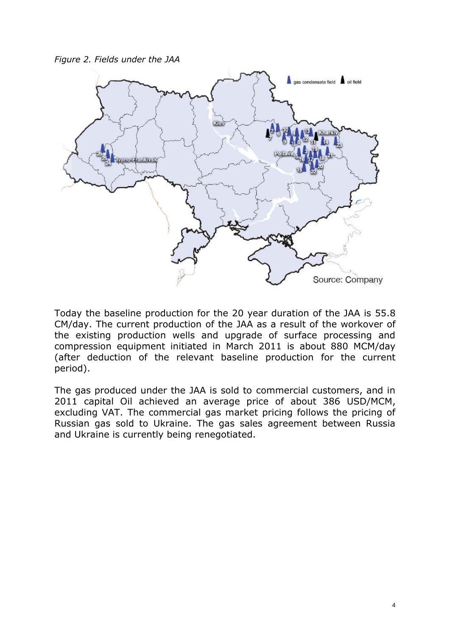*Figure 2. Fields under the JAA*



Today the baseline production for the 20 year duration of the JAA is 55.8 CM/day. The current production of the JAA as a result of the workover of the existing production wells and upgrade of surface processing and compression equipment initiated in March 2011 is about 880 MCM/day (after deduction of the relevant baseline production for the current period).

The gas produced under the JAA is sold to commercial customers, and in 2011 capital Oil achieved an average price of about 386 USD/MCM, excluding VAT. The commercial gas market pricing follows the pricing of Russian gas sold to Ukraine. The gas sales agreement between Russia and Ukraine is currently being renegotiated.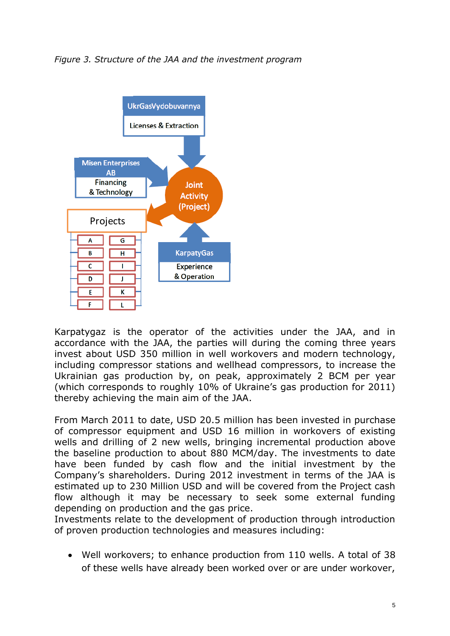#### *Figure 3. Structure of the JAA and the investment program*



Karpatygaz is the operator of the activities under the JAA, and in accordance with the JAA, the parties will during the coming three years invest about USD 350 million in well workovers and modern technology, including compressor stations and wellhead compressors, to increase the Ukrainian gas production by, on peak, approximately 2 BCM per year (which corresponds to roughly 10% of Ukraine's gas production for 2011) thereby achieving the main aim of the JAA.

From March 2011 to date, USD 20.5 million has been invested in purchase of compressor equipment and USD 16 million in workovers of existing wells and drilling of 2 new wells, bringing incremental production above the baseline production to about 880 MCM/day. The investments to date have been funded by cash flow and the initial investment by the Company's shareholders. During 2012 investment in terms of the JAA is estimated up to 230 Million USD and will be covered from the Project cash flow although it may be necessary to seek some external funding depending on production and the gas price.

Investments relate to the development of production through introduction of proven production technologies and measures including:

Well workovers; to enhance production from 110 wells. A total of 38 of these wells have already been worked over or are under workover,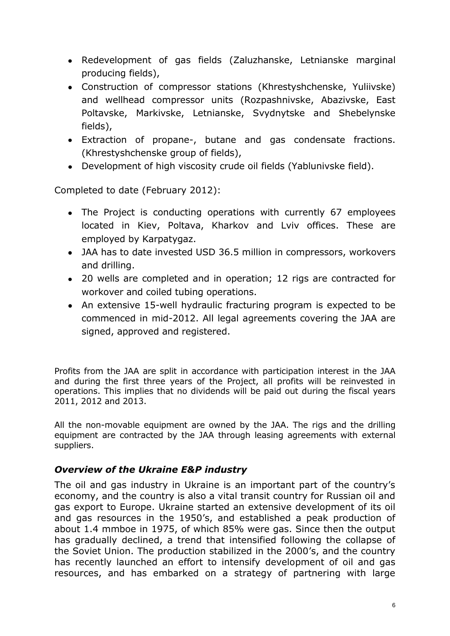- Redevelopment of gas fields (Zaluzhanske, Letnianske marginal producing fields),
- Construction of compressor stations (Khrestyshchenske, Yuliivske) and wellhead compressor units (Rozpashnivske, Abazivske, East Poltavske, Markivske, Letnianske, Svydnytske and Shebelynske fields),
- Extraction of propane-, butane and gas condensate fractions. (Khrestyshchenske group of fields),
- Development of high viscosity crude oil fields (Yablunivske field).

Completed to date (February 2012):

- The Project is conducting operations with currently 67 employees located in Kiev, Poltava, Kharkov and Lviv offices. These are employed by Karpatygaz.
- JAA has to date invested USD 36.5 million in compressors, workovers and drilling.
- 20 wells are completed and in operation; 12 rigs are contracted for workover and coiled tubing operations.
- An extensive 15-well hydraulic fracturing program is expected to be commenced in mid-2012. All legal agreements covering the JAA are signed, approved and registered.

Profits from the JAA are split in accordance with participation interest in the JAA and during the first three years of the Project, all profits will be reinvested in operations. This implies that no dividends will be paid out during the fiscal years 2011, 2012 and 2013.

All the non-movable equipment are owned by the JAA. The rigs and the drilling equipment are contracted by the JAA through leasing agreements with external suppliers.

## *Overview of the Ukraine E&P industry*

The oil and gas industry in Ukraine is an important part of the country's economy, and the country is also a vital transit country for Russian oil and gas export to Europe. Ukraine started an extensive development of its oil and gas resources in the 1950's, and established a peak production of about 1.4 mmboe in 1975, of which 85% were gas. Since then the output has gradually declined, a trend that intensified following the collapse of the Soviet Union. The production stabilized in the 2000's, and the country has recently launched an effort to intensify development of oil and gas resources, and has embarked on a strategy of partnering with large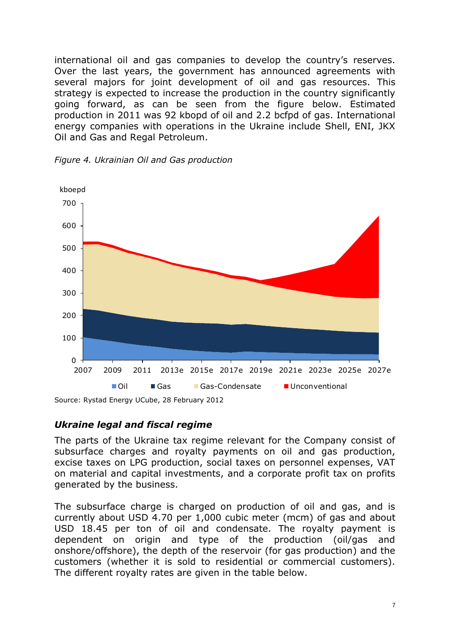international oil and gas companies to develop the country's reserves. Over the last years, the government has announced agreements with several majors for joint development of oil and gas resources. This strategy is expected to increase the production in the country significantly going forward, as can be seen from the figure below. Estimated production in 2011 was 92 kbopd of oil and 2.2 bcfpd of gas. International energy companies with operations in the Ukraine include Shell, ENI, JKX Oil and Gas and Regal Petroleum.



*Figure 4. Ukrainian Oil and Gas production*

*Ukraine legal and fiscal regime*

The parts of the Ukraine tax regime relevant for the Company consist of subsurface charges and royalty payments on oil and gas production, excise taxes on LPG production, social taxes on personnel expenses, VAT on material and capital investments, and a corporate profit tax on profits generated by the business.

The subsurface charge is charged on production of oil and gas, and is currently about USD 4.70 per 1,000 cubic meter (mcm) of gas and about USD 18.45 per ton of oil and condensate. The royalty payment is dependent on origin and type of the production (oil/gas and onshore/offshore), the depth of the reservoir (for gas production) and the customers (whether it is sold to residential or commercial customers). The different royalty rates are given in the table below.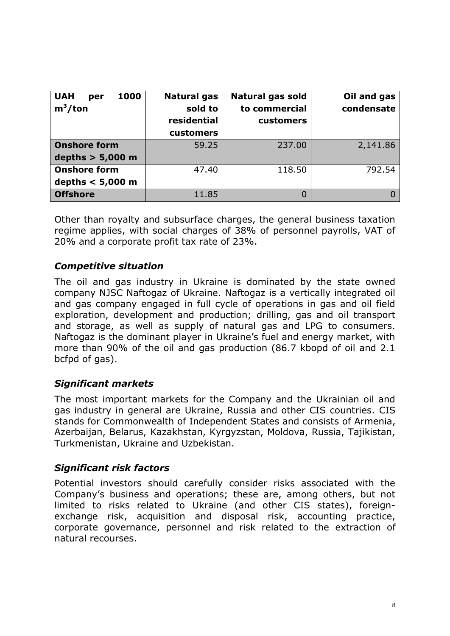| <b>UAH</b><br>1000<br>per<br>$m^3$ /ton | <b>Natural gas</b><br>sold to<br>residential<br>customers | Natural gas sold<br>to commercial<br>customers | Oil and gas<br>condensate |
|-----------------------------------------|-----------------------------------------------------------|------------------------------------------------|---------------------------|
| <b>Onshore form</b>                     | 59.25                                                     | 237.00                                         | 2,141.86                  |
| depths $> 5,000$ m                      |                                                           |                                                |                           |
| <b>Onshore form</b>                     | 47.40                                                     | 118.50                                         | 792.54                    |
| depths $< 5,000$ m                      |                                                           |                                                |                           |
| <b>Offshore</b>                         | 11.85                                                     | 0                                              |                           |

Other than royalty and subsurface charges, the general business taxation regime applies, with social charges of 38% of personnel payrolls, VAT of 20% and a corporate profit tax rate of 23%.

# *Competitive situation*

The oil and gas industry in Ukraine is dominated by the state owned company NJSC Naftogaz of Ukraine. Naftogaz is a vertically integrated oil and gas company engaged in full cycle of operations in gas and oil field exploration, development and production; drilling, gas and oil transport and storage, as well as supply of natural gas and LPG to consumers. Naftogaz is the dominant player in Ukraine's fuel and energy market, with more than 90% of the oil and gas production (86.7 kbopd of oil and 2.1 bcfpd of gas).

## *Significant markets*

The most important markets for the Company and the Ukrainian oil and gas industry in general are Ukraine, Russia and other CIS countries. CIS stands for Commonwealth of Independent States and consists of Armenia, Azerbaijan, Belarus, Kazakhstan, Kyrgyzstan, Moldova, Russia, Tajikistan, Turkmenistan, Ukraine and Uzbekistan.

## *Significant risk factors*

Potential investors should carefully consider risks associated with the Company's business and operations; these are, among others, but not limited to risks related to Ukraine (and other CIS states), foreignexchange risk, acquisition and disposal risk, accounting practice, corporate governance, personnel and risk related to the extraction of natural recourses.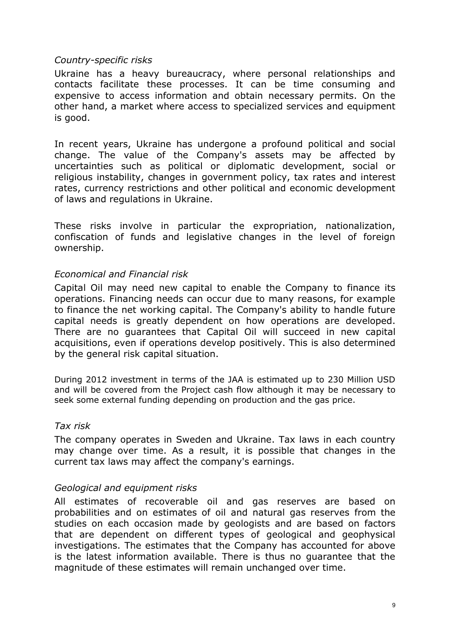#### *Country-specific risks*

Ukraine has a heavy bureaucracy, where personal relationships and contacts facilitate these processes. It can be time consuming and expensive to access information and obtain necessary permits. On the other hand, a market where access to specialized services and equipment is good.

In recent years, Ukraine has undergone a profound political and social change. The value of the Company's assets may be affected by uncertainties such as political or diplomatic development, social or religious instability, changes in government policy, tax rates and interest rates, currency restrictions and other political and economic development of laws and regulations in Ukraine.

These risks involve in particular the expropriation, nationalization, confiscation of funds and legislative changes in the level of foreign ownership.

### *Economical and Financial risk*

Capital Oil may need new capital to enable the Company to finance its operations. Financing needs can occur due to many reasons, for example to finance the net working capital. The Company's ability to handle future capital needs is greatly dependent on how operations are developed. There are no guarantees that Capital Oil will succeed in new capital acquisitions, even if operations develop positively. This is also determined by the general risk capital situation.

During 2012 investment in terms of the JAA is estimated up to 230 Million USD and will be covered from the Project cash flow although it may be necessary to seek some external funding depending on production and the gas price.

#### *Tax risk*

The company operates in Sweden and Ukraine. Tax laws in each country may change over time. As a result, it is possible that changes in the current tax laws may affect the company's earnings.

#### *Geological and equipment risks*

All estimates of recoverable oil and gas reserves are based on probabilities and on estimates of oil and natural gas reserves from the studies on each occasion made by geologists and are based on factors that are dependent on different types of geological and geophysical investigations. The estimates that the Company has accounted for above is the latest information available. There is thus no guarantee that the magnitude of these estimates will remain unchanged over time.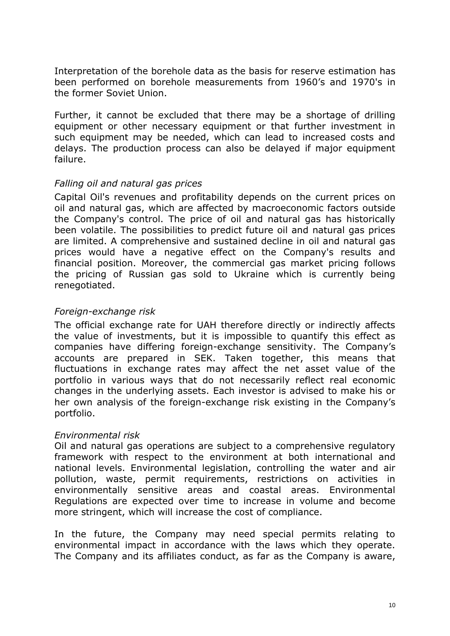Interpretation of the borehole data as the basis for reserve estimation has been performed on borehole measurements from 1960's and 1970's in the former Soviet Union.

Further, it cannot be excluded that there may be a shortage of drilling equipment or other necessary equipment or that further investment in such equipment may be needed, which can lead to increased costs and delays. The production process can also be delayed if major equipment failure.

### *Falling oil and natural gas prices*

Capital Oil's revenues and profitability depends on the current prices on oil and natural gas, which are affected by macroeconomic factors outside the Company's control. The price of oil and natural gas has historically been volatile. The possibilities to predict future oil and natural gas prices are limited. A comprehensive and sustained decline in oil and natural gas prices would have a negative effect on the Company's results and financial position. Moreover, the commercial gas market pricing follows the pricing of Russian gas sold to Ukraine which is currently being renegotiated.

### *Foreign-exchange risk*

The official exchange rate for UAH therefore directly or indirectly affects the value of investments, but it is impossible to quantify this effect as companies have differing foreign-exchange sensitivity. The Company's accounts are prepared in SEK. Taken together, this means that fluctuations in exchange rates may affect the net asset value of the portfolio in various ways that do not necessarily reflect real economic changes in the underlying assets. Each investor is advised to make his or her own analysis of the foreign-exchange risk existing in the Company's portfolio.

### *Environmental risk*

Oil and natural gas operations are subject to a comprehensive regulatory framework with respect to the environment at both international and national levels. Environmental legislation, controlling the water and air pollution, waste, permit requirements, restrictions on activities in environmentally sensitive areas and coastal areas. Environmental Regulations are expected over time to increase in volume and become more stringent, which will increase the cost of compliance.

In the future, the Company may need special permits relating to environmental impact in accordance with the laws which they operate. The Company and its affiliates conduct, as far as the Company is aware,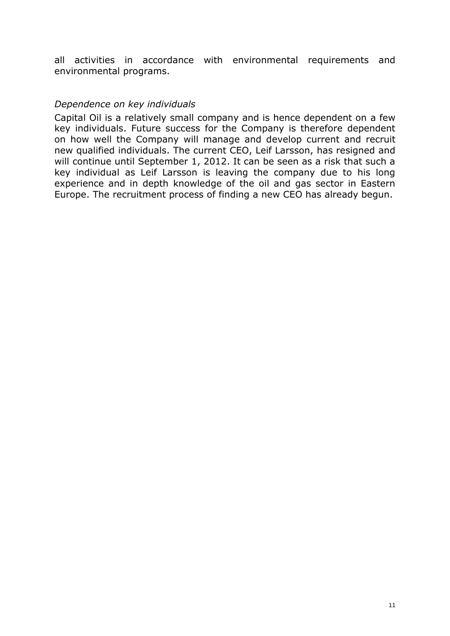all activities in accordance with environmental requirements and environmental programs.

#### *Dependence on key individuals*

Capital Oil is a relatively small company and is hence dependent on a few key individuals. Future success for the Company is therefore dependent on how well the Company will manage and develop current and recruit new qualified individuals. The current CEO, Leif Larsson, has resigned and will continue until September 1, 2012. It can be seen as a risk that such a key individual as Leif Larsson is leaving the company due to his long experience and in depth knowledge of the oil and gas sector in Eastern Europe. The recruitment process of finding a new CEO has already begun.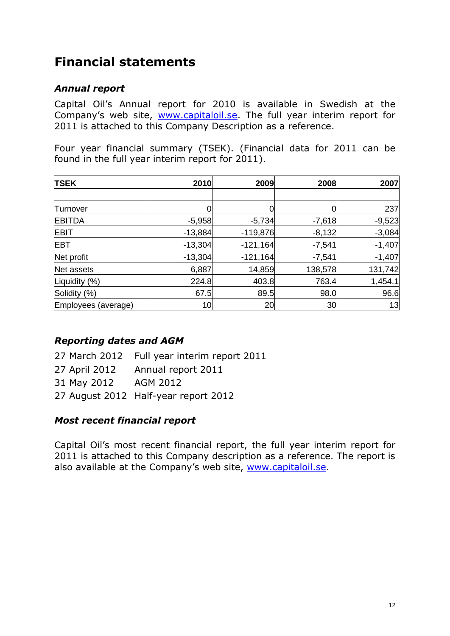# **Financial statements**

## *Annual report*

Capital Oil's Annual report for 2010 is available in Swedish at the Company's web site, [www.capitaloil.se.](http://www.capitaloil.se/) The full year interim report for 2011 is attached to this Company Description as a reference.

Four year financial summary (TSEK). (Financial data for 2011 can be found in the full year interim report for 2011).

| <b>TSEK</b>         | 2010      | 2009       | 2008     | 2007     |
|---------------------|-----------|------------|----------|----------|
|                     |           |            |          |          |
| Turnover            |           |            |          | 237      |
| <b>EBITDA</b>       | $-5,958$  | $-5,734$   | $-7,618$ | $-9,523$ |
| <b>EBIT</b>         | $-13,884$ | $-119,876$ | $-8,132$ | $-3,084$ |
| <b>EBT</b>          | $-13,304$ | $-121,164$ | $-7,541$ | $-1,407$ |
| Net profit          | $-13,304$ | $-121,164$ | $-7,541$ | $-1,407$ |
| Net assets          | 6,887     | 14,859     | 138,578  | 131,742  |
| Liquidity (%)       | 224.8     | 403.8      | 763.4    | 1,454.1  |
| Solidity (%)        | 67.5      | 89.5       | 98.0     | 96.6     |
| Employees (average) | 10        | 20         | 30       | 13       |

## *Reporting dates and AGM*

- 27 March 2012 Full year interim report 2011
- 27 April 2012 Annual report 2011
- 31 May 2012 AGM 2012
- 27 August 2012 Half-year report 2012

## *Most recent financial report*

Capital Oil's most recent financial report, the full year interim report for 2011 is attached to this Company description as a reference. The report is also available at the Company's web site, [www.capitaloil.se.](http://www.capitaloil.se/)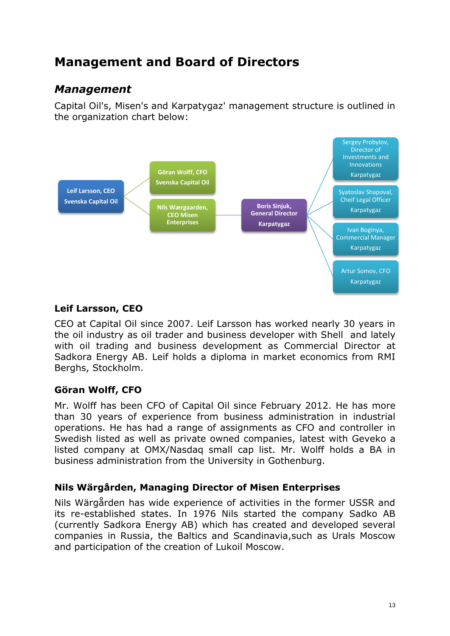# **Management and Board of Directors**

# *Management*

Capital Oil's, Misen's and Karpatygaz' management structure is outlined in the organization chart below:



# **Leif Larsson, CEO**

CEO at Capital Oil since 2007. Leif Larsson has worked nearly 30 years in the oil industry as oil trader and business developer with Shell and lately with oil trading and business development as Commercial Director at Sadkora Energy AB. Leif holds a diploma in market economics from RMI Berghs, Stockholm.

## **Göran Wolff, CFO**

Mr. Wolff has been CFO of Capital Oil since February 2012. He has more than 30 years of experience from business administration in industrial operations. He has had a range of assignments as CFO and controller in Swedish listed as well as private owned companies, latest with Geveko a listed company at OMX/Nasdaq small cap list. Mr. Wolff holds a BA in business administration from the University in Gothenburg.

## **Nils Wärgården, Managing Director of Misen Enterprises**

Nils Wärgården has wide experience of activities in the former USSR and its re-established states. In 1976 Nils started the company Sadko AB (currently Sadkora Energy AB) which has created and developed several companies in Russia, the Baltics and Scandinavia,such as Urals Moscow and participation of the creation of Lukoil Moscow.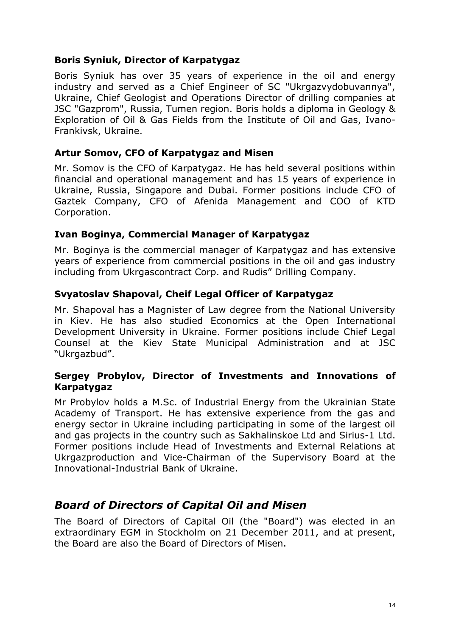### **Boris Syniuk, Director of Karpatygaz**

Boris Syniuk has over 35 years of experience in the oil and energy industry and served as a Chief Engineer of SC "Ukrgazvydobuvannya", Ukraine, Chief Geologist and Operations Director of drilling companies at JSC "Gazprom", Russia, Tumen region. Boris holds a diploma in Geology & Exploration of Oil & Gas Fields from the Institute of Oil and Gas, Ivano-Frankivsk, Ukraine.

### **Artur Somov, CFO of Karpatygaz and Misen**

Mr. Somov is the CFO of Karpatygaz. He has held several positions within financial and operational management and has 15 years of experience in Ukraine, Russia, Singapore and Dubai. Former positions include CFO of Gaztek Company, CFO of Afenida Management and COO of KTD Corporation.

### **Ivan Boginya, Commercial Manager of Karpatygaz**

Mr. Boginya is the commercial manager of Karpatygaz and has extensive years of experience from commercial positions in the oil and gas industry including from Ukrgascontract Corp. and Rudis" Drilling Company.

#### **Svyatoslav Shapoval, Cheif Legal Officer of Karpatygaz**

Mr. Shapoval has a Magnister of Law degree from the National University in Kiev. He has also studied Economics at the Open International Development University in Ukraine. Former positions include Chief Legal Counsel at the Kiev State Municipal Administration and at JSC "Ukrgazbud".

### **Sergey Probylov, Director of Investments and Innovations of Karpatygaz**

Mr Probylov holds a M.Sc. of Industrial Energy from the Ukrainian State Academy of Transport. He has extensive experience from the gas and energy sector in Ukraine including participating in some of the largest oil and gas projects in the country such as Sakhalinskoe Ltd and Sirius-1 Ltd. Former positions include Head of Investments and External Relations at Ukrgazproduction and Vice-Chairman of the Supervisory Board at the Innovational-Industrial Bank of Ukraine.

# *Board of Directors of Capital Oil and Misen*

The Board of Directors of Capital Oil (the "Board") was elected in an extraordinary EGM in Stockholm on 21 December 2011, and at present, the Board are also the Board of Directors of Misen.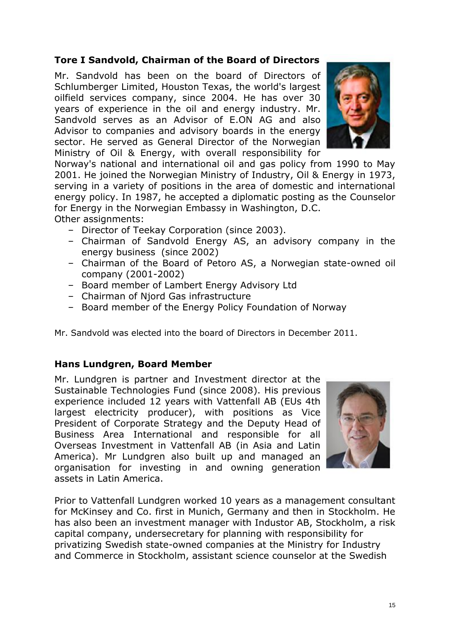# **Tore I Sandvold, Chairman of the Board of Directors**

Mr. Sandvold has been on the board of Directors of Schlumberger Limited, Houston Texas, the world's largest oilfield services company, since 2004. He has over 30 years of experience in the oil and energy industry. Mr. Sandvold serves as an Advisor of E.ON AG and also Advisor to companies and advisory boards in the energy sector. He served as General Director of the Norwegian Ministry of Oil & Energy, with overall responsibility for



Norway's national and international oil and gas policy from 1990 to May 2001. He joined the Norwegian Ministry of Industry, Oil & Energy in 1973, serving in a variety of positions in the area of domestic and international energy policy. In 1987, he accepted a diplomatic posting as the Counselor for Energy in the Norwegian Embassy in Washington, D.C.

Other assignments:

- Director of Teekay Corporation (since 2003).
- Chairman of Sandvold Energy AS, an advisory company in the energy business (since 2002)
- Chairman of the Board of Petoro AS, a Norwegian state-owned oil company (2001-2002)
- Board member of Lambert Energy Advisory Ltd
- Chairman of Njord Gas infrastructure
- Board member of the Energy Policy Foundation of Norway

Mr. Sandvold was elected into the board of Directors in December 2011.

### **Hans Lundgren, Board Member**

Mr. Lundgren is partner and Investment director at the Sustainable Technologies Fund (since 2008). His previous experience included 12 years with Vattenfall AB (EUs 4th largest electricity producer), with positions as Vice President of Corporate Strategy and the Deputy Head of Business Area International and responsible for all Overseas Investment in Vattenfall AB (in Asia and Latin America). Mr Lundgren also built up and managed an organisation for investing in and owning generation assets in Latin America.



Prior to Vattenfall Lundgren worked 10 years as a management consultant for McKinsey and Co. first in Munich, Germany and then in Stockholm. He has also been an investment manager with Industor AB, Stockholm, a risk capital company, undersecretary for planning with responsibility for privatizing Swedish state-owned companies at the Ministry for Industry and Commerce in Stockholm, assistant science counselor at the Swedish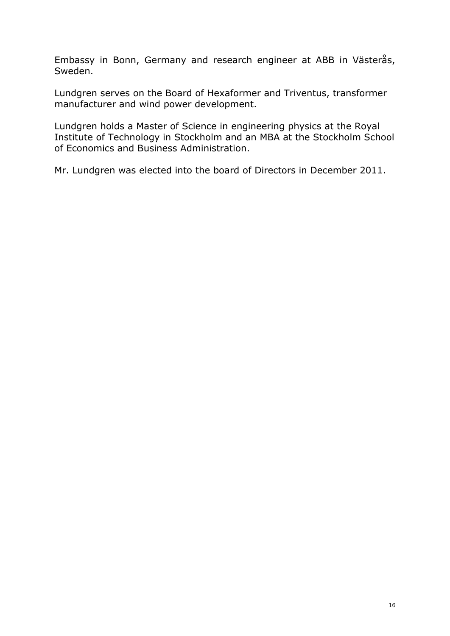Embassy in Bonn, Germany and research engineer at ABB in Västerås, Sweden.

Lundgren serves on the Board of Hexaformer and Triventus, transformer manufacturer and wind power development.

Lundgren holds a Master of Science in engineering physics at the Royal Institute of Technology in Stockholm and an MBA at the Stockholm School of Economics and Business Administration.

Mr. Lundgren was elected into the board of Directors in December 2011.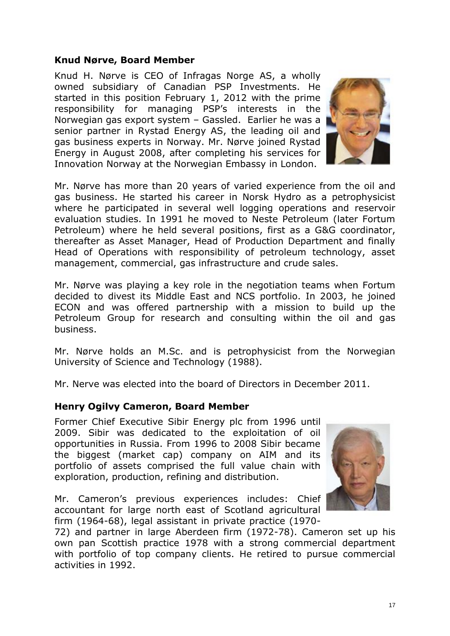### **Knud Nørve, Board Member**

Knud H. Nørve is CEO of Infragas Norge AS, a wholly owned subsidiary of Canadian PSP Investments. He started in this position February 1, 2012 with the prime responsibility for managing PSP's interests in the Norwegian gas export system – Gassled. Earlier he was a senior partner in Rystad Energy AS, the leading oil and gas business experts in Norway. Mr. Nørve joined Rystad Energy in August 2008, after completing his services for Innovation Norway at the Norwegian Embassy in London.



Mr. Nørve has more than 20 years of varied experience from the oil and gas business. He started his career in Norsk Hydro as a petrophysicist where he participated in several well logging operations and reservoir evaluation studies. In 1991 he moved to Neste Petroleum (later Fortum Petroleum) where he held several positions, first as a G&G coordinator, thereafter as Asset Manager, Head of Production Department and finally Head of Operations with responsibility of petroleum technology, asset management, commercial, gas infrastructure and crude sales.

Mr. Nørve was playing a key role in the negotiation teams when Fortum decided to divest its Middle East and NCS portfolio. In 2003, he joined ECON and was offered partnership with a mission to build up the Petroleum Group for research and consulting within the oil and gas business.

Mr. Nørve holds an M.Sc. and is petrophysicist from the Norwegian University of Science and Technology (1988).

Mr. Nerve was elected into the board of Directors in December 2011.

### **Henry Ogilvy Cameron, Board Member**

Former Chief Executive Sibir Energy plc from 1996 until 2009. Sibir was dedicated to the exploitation of oil opportunities in Russia. From 1996 to 2008 Sibir became the biggest (market cap) company on AIM and its portfolio of assets comprised the full value chain with exploration, production, refining and distribution.

Mr. Cameron's previous experiences includes: Chief accountant for large north east of Scotland agricultural firm (1964-68), legal assistant in private practice (1970-



72) and partner in large Aberdeen firm (1972-78). Cameron set up his own pan Scottish practice 1978 with a strong commercial department with portfolio of top company clients. He retired to pursue commercial activities in 1992.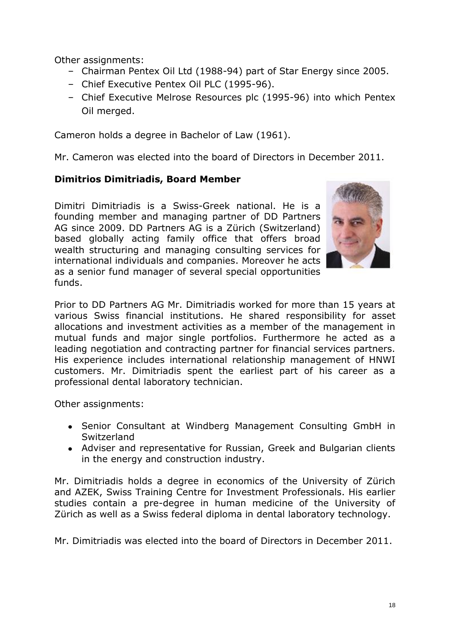Other assignments:

- Chairman Pentex Oil Ltd (1988-94) part of Star Energy since 2005.
- Chief Executive Pentex Oil PLC (1995-96).
- Chief Executive Melrose Resources plc (1995-96) into which Pentex Oil merged.

Cameron holds a degree in Bachelor of Law (1961).

Mr. Cameron was elected into the board of Directors in December 2011.

### **Dimitrios Dimitriadis, Board Member**

Dimitri Dimitriadis is a Swiss-Greek national. He is a founding member and managing partner of DD Partners AG since 2009. DD Partners AG is a Zürich (Switzerland) based globally acting family office that offers broad wealth structuring and managing consulting services for international individuals and companies. Moreover he acts as a senior fund manager of several special opportunities funds.



Prior to DD Partners AG Mr. Dimitriadis worked for more than 15 years at various Swiss financial institutions. He shared responsibility for asset allocations and investment activities as a member of the management in mutual funds and major single portfolios. Furthermore he acted as a leading negotiation and contracting partner for financial services partners. His experience includes international relationship management of HNWI customers. Mr. Dimitriadis spent the earliest part of his career as a professional dental laboratory technician.

Other assignments:

- Senior Consultant at Windberg Management Consulting GmbH in Switzerland
- Adviser and representative for Russian, Greek and Bulgarian clients in the energy and construction industry.

Mr. Dimitriadis holds a degree in economics of the University of Zürich and AZEK, Swiss Training Centre for Investment Professionals. His earlier studies contain a pre-degree in human medicine of the University of Zürich as well as a Swiss federal diploma in dental laboratory technology.

Mr. Dimitriadis was elected into the board of Directors in December 2011.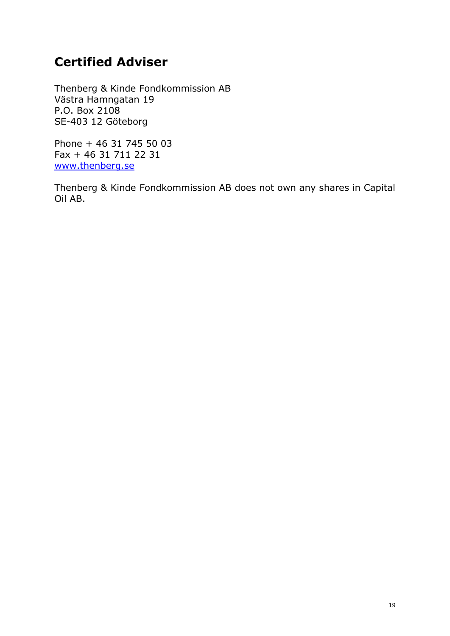# **Certified Adviser**

Thenberg & Kinde Fondkommission AB Västra Hamngatan 19 P.O. Box 2108 SE-403 12 Göteborg

Phone + 46 31 745 50 03 Fax + 46 31 711 22 31 [www.thenberg.se](http://www.thenberg.se/)

Thenberg & Kinde Fondkommission AB does not own any shares in Capital Oil AB.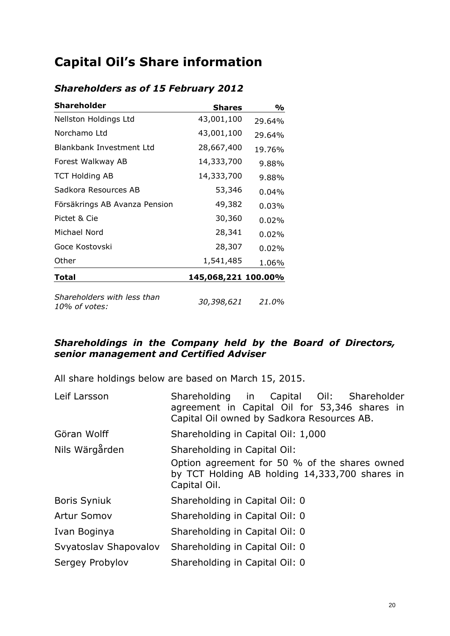# **Capital Oil's Share information**

| <b>Shareholder</b>                           | <b>Shares</b>       | %        |
|----------------------------------------------|---------------------|----------|
| Nellston Holdings Ltd                        | 43,001,100          | 29.64%   |
| Norchamo Ltd                                 | 43,001,100          | 29.64%   |
| Blankbank Investment Ltd                     | 28,667,400          | 19.76%   |
| Forest Walkway AB                            | 14,333,700          | 9.88%    |
| <b>TCT Holding AB</b>                        | 14,333,700          | 9.88%    |
| Sadkora Resources AB                         | 53,346              | $0.04\%$ |
| Försäkrings AB Avanza Pension                | 49,382              | 0.03%    |
| Pictet & Cie                                 | 30,360              | $0.02\%$ |
| Michael Nord                                 | 28,341              | $0.02\%$ |
| Goce Kostovski                               | 28,307              | $0.02\%$ |
| Other                                        | 1,541,485           | 1.06%    |
| Total                                        | 145,068,221 100.00% |          |
| Shareholders with less than<br>10% of votes: | 30,398,621          | 21.0%    |

# *Shareholders as of 15 February 2012*

### *Shareholdings in the Company held by the Board of Directors, senior management and Certified Adviser*

All share holdings below are based on March 15, 2015.

| Leif Larsson          | Shareholding in Capital Oil: Shareholder<br>agreement in Capital Oil for 53,346 shares in<br>Capital Oil owned by Sadkora Resources AB. |
|-----------------------|-----------------------------------------------------------------------------------------------------------------------------------------|
| Göran Wolff           | Shareholding in Capital Oil: 1,000                                                                                                      |
| Nils Wärgården        | Shareholding in Capital Oil:                                                                                                            |
|                       | Option agreement for 50 % of the shares owned<br>by TCT Holding AB holding 14,333,700 shares in<br>Capital Oil.                         |
| <b>Boris Syniuk</b>   | Shareholding in Capital Oil: 0                                                                                                          |
| <b>Artur Somov</b>    | Shareholding in Capital Oil: 0                                                                                                          |
| Ivan Boginya          | Shareholding in Capital Oil: 0                                                                                                          |
| Svyatoslav Shapovalov | Shareholding in Capital Oil: 0                                                                                                          |
| Sergey Probylov       | Shareholding in Capital Oil: 0                                                                                                          |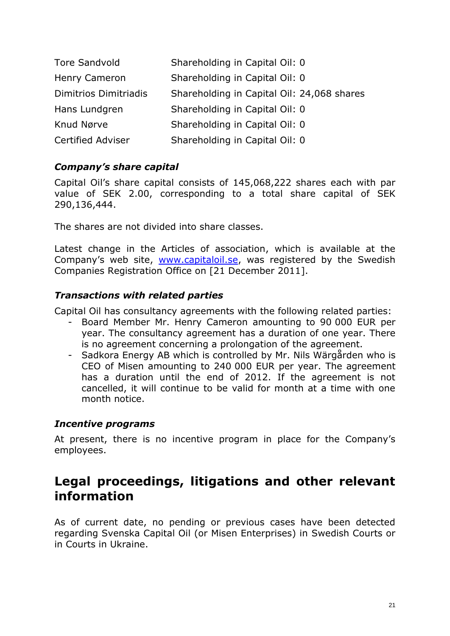| <b>Tore Sandvold</b>  | Shareholding in Capital Oil: 0             |
|-----------------------|--------------------------------------------|
| Henry Cameron         | Shareholding in Capital Oil: 0             |
| Dimitrios Dimitriadis | Shareholding in Capital Oil: 24,068 shares |
| Hans Lundgren         | Shareholding in Capital Oil: 0             |
| Knud Nørve            | Shareholding in Capital Oil: 0             |
| Certified Adviser     | Shareholding in Capital Oil: 0             |

# *Company's share capital*

Capital Oil's share capital consists of 145,068,222 shares each with par value of SEK 2.00, corresponding to a total share capital of SEK 290,136,444.

The shares are not divided into share classes.

Latest change in the Articles of association, which is available at the Company's web site, [www.capitaloil.se,](http://www.capitaloil.se/) was registered by the Swedish Companies Registration Office on [21 December 2011].

## *Transactions with related parties*

Capital Oil has consultancy agreements with the following related parties:

- Board Member Mr. Henry Cameron amounting to 90 000 EUR per year. The consultancy agreement has a duration of one year. There is no agreement concerning a prolongation of the agreement.
- Sadkora Energy AB which is controlled by Mr. Nils Wärgården who is CEO of Misen amounting to 240 000 EUR per year. The agreement has a duration until the end of 2012. If the agreement is not cancelled, it will continue to be valid for month at a time with one month notice.

### *Incentive programs*

At present, there is no incentive program in place for the Company's employees.

# **Legal proceedings, litigations and other relevant information**

As of current date, no pending or previous cases have been detected regarding Svenska Capital Oil (or Misen Enterprises) in Swedish Courts or in Courts in Ukraine.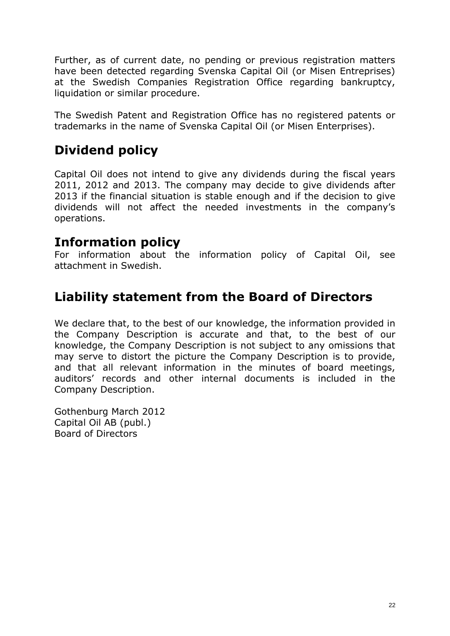Further, as of current date, no pending or previous registration matters have been detected regarding Svenska Capital Oil (or Misen Entreprises) at the Swedish Companies Registration Office regarding bankruptcy, liquidation or similar procedure.

The Swedish Patent and Registration Office has no registered patents or trademarks in the name of Svenska Capital Oil (or Misen Enterprises).

# **Dividend policy**

Capital Oil does not intend to give any dividends during the fiscal years 2011, 2012 and 2013. The company may decide to give dividends after 2013 if the financial situation is stable enough and if the decision to give dividends will not affect the needed investments in the company's operations.

# **Information policy**

For information about the information policy of Capital Oil, see attachment in Swedish.

# **Liability statement from the Board of Directors**

We declare that, to the best of our knowledge, the information provided in the Company Description is accurate and that, to the best of our knowledge, the Company Description is not subject to any omissions that may serve to distort the picture the Company Description is to provide, and that all relevant information in the minutes of board meetings, auditors' records and other internal documents is included in the Company Description.

Gothenburg March 2012 Capital Oil AB (publ.) Board of Directors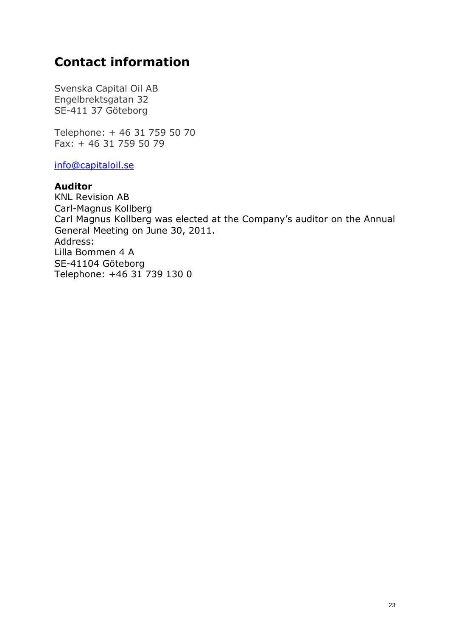# **Contact information**

Svenska Capital Oil AB Engelbrektsgatan 32 SE-411 37 Göteborg

Telephone: + 46 31 759 50 70 Fax: + 46 31 759 50 79

[info@capitaloil.se](mailto:info@capitaloil.se)

#### **Auditor**

KNL Revision AB Carl-Magnus Kollberg Carl Magnus Kollberg was elected at the Company's auditor on the Annual General Meeting on June 30, 2011. Address: Lilla Bommen 4 A SE-41104 Göteborg Telephone: +46 31 739 130 0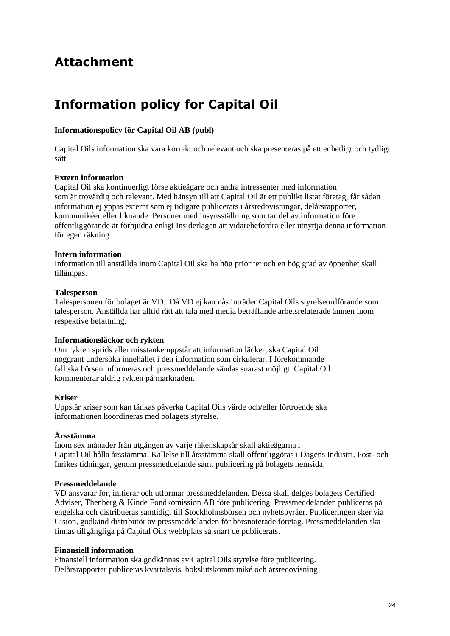# **Attachment**

# **Information policy for Capital Oil**

#### **Informationspolicy för Capital Oil AB (publ)**

Capital Oils information ska vara korrekt och relevant och ska presenteras på ett enhetligt och tydligt sätt.

#### **Extern information**

Capital Oil ska kontinuerligt förse aktieägare och andra intressenter med information som är trovärdig och relevant. Med hänsyn till att Capital Oil är ett publikt listat företag, får sådan information ej yppas externt som ej tidigare publicerats i årsredovisningar, delårsrapporter, kommunikéer eller liknande. Personer med insynsställning som tar del av information före offentliggörande är förbjudna enligt Insiderlagen att vidarebefordra eller utnyttja denna information för egen räkning.

#### **Intern information**

Information till anställda inom Capital Oil ska ha hög prioritet och en hög grad av öppenhet skall tillämpas.

#### **Talesperson**

Talespersonen för bolaget är VD. Då VD ej kan nås inträder Capital Oils styrelseordförande som talesperson. Anställda har alltid rätt att tala med media beträffande arbetsrelaterade ämnen inom respektive befattning.

#### **Informationsläckor och rykten**

Om rykten sprids eller misstanke uppstår att information läcker, ska Capital Oil noggrant undersöka innehållet i den information som cirkulerar. I förekommande fall ska börsen informeras och pressmeddelande sändas snarast möjligt. Capital Oil kommenterar aldrig rykten på marknaden.

#### **Kriser**

Uppstår kriser som kan tänkas påverka Capital Oils värde och/eller förtroende ska informationen koordineras med bolagets styrelse.

#### **Årsstämma**

Inom sex månader från utgången av varje räkenskapsår skall aktieägarna i Capital Oil hålla årsstämma. Kallelse till årsstämma skall offentliggöras i Dagens Industri, Post- och Inrikes tidningar, genom pressmeddelande samt publicering på bolagets hemsida.

#### **Pressmeddelande**

VD ansvarar för, initierar och utformar pressmeddelanden. Dessa skall delges bolagets Certified Adviser, Thenberg & Kinde Fondkomission AB före publicering. Pressmeddelanden publiceras på engelska och distribueras samtidigt till Stockholmsbörsen och nyhetsbyråer. Publiceringen sker via Cision, godkänd distributör av pressmeddelanden för börsnoterade företag. Pressmeddelanden ska finnas tillgängliga på Capital Oils webbplats så snart de publicerats.

#### **Finansiell information**

Finansiell information ska godkännas av Capital Oils styrelse före publicering. Delårsrapporter publiceras kvartalsvis, bokslutskommuniké och årsredovisning